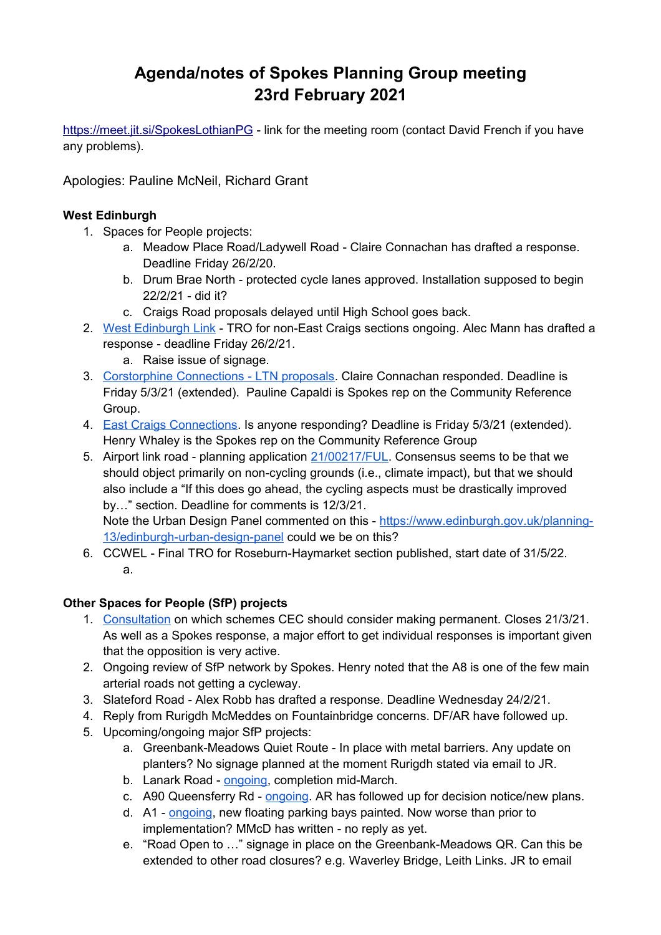# **Agenda/notes of Spokes Planning Group meeting 23rd February 2021**

<https://meet.jit.si/SpokesLothianPG>- link for the meeting room (contact David French if you have any problems).

Apologies: Pauline McNeil, Richard Grant

## **West Edinburgh**

- 1. Spaces for People projects:
	- a. Meadow Place Road/Ladywell Road Claire Connachan has drafted a response. Deadline Friday 26/2/20.
	- b. Drum Brae North protected cycle lanes approved. Installation supposed to begin 22/2/21 - did it?
	- c. Craigs Road proposals delayed until High School goes back.
- 2. [West Edinburgh Link](https://westedinburghlink.info/project-details/)  TRO for non-East Craigs sections ongoing. Alec Mann has drafted a response - deadline Friday 26/2/21.
	- a. Raise issue of signage.
- 3. [Corstorphine Connections LTN proposals.](https://consultationhub.edinburgh.gov.uk/sfc/corstorphine-connections/) Claire Connachan responded. Deadline is Friday 5/3/21 (extended). Pauline Capaldi is Spokes rep on the Community Reference Group.
- 4. [East Craigs Connections.](https://wh1.snapsurveys.com/s.asp?k=161243891524%20) Is anyone responding? Deadline is Friday 5/3/21 (extended). Henry Whaley is the Spokes rep on the Community Reference Group
- 5. Airport link road planning application [21/00217/FUL.](https://citydev-portal.edinburgh.gov.uk/idoxpa-web/applicationDetails.do?activeTab=documents&keyVal=QN4EJ4EWKTZ00) Consensus seems to be that we should object primarily on non-cycling grounds (i.e., climate impact), but that we should also include a "If this does go ahead, the cycling aspects must be drastically improved by…" section. Deadline for comments is 12/3/21.

Note the Urban Design Panel commented on this - [https://www.edinburgh.gov.uk/planning-](https://www.edinburgh.gov.uk/planning-13/edinburgh-urban-design-panel)[13/edinburgh-urban-design-panel](https://www.edinburgh.gov.uk/planning-13/edinburgh-urban-design-panel) could we be on this?

6. CCWEL - Final TRO for Roseburn-Haymarket section published, start date of 31/5/22. a.

#### **Other Spaces for People (SfP) projects**

- 1. [Consultation](https://consultationhub.edinburgh.gov.uk/bi/retainingspacesforpeopleconsultation/) on which schemes CEC should consider making permanent. Closes 21/3/21. As well as a Spokes response, a major effort to get individual responses is important given that the opposition is very active.
- 2. Ongoing review of SfP network by Spokes. Henry noted that the A8 is one of the few main arterial roads not getting a cycleway.
- 3. Slateford Road Alex Robb has drafted a response. Deadline Wednesday 24/2/21.
- 4. Reply from Rurigdh McMeddes on Fountainbridge concerns. DF/AR have followed up.
- 5. Upcoming/ongoing major SfP projects:
	- a. Greenbank-Meadows Quiet Route In place with metal barriers. Any update on planters? No signage planned at the moment Rurigdh stated via email to JR.
	- b. Lanark Road - [ongoing,](https://twitter.com/SueJWebber/status/1354043991734550531?s=20) completion mid-March.
	- c. A90 Queensferry Rd - [ongoing.](https://twitter.com/Will0Thomas/status/1363438049259094016?s=20) AR has followed up for decision notice/new plans.
	- d. A1 - [ongoing,](https://twitter.com/jonnyed55/status/1355531988007055369?s=20) new floating parking bays painted. Now worse than prior to implementation? MMcD has written - no reply as yet.
	- e. "Road Open to …" signage in place on the Greenbank-Meadows QR. Can this be extended to other road closures? e.g. Waverley Bridge, Leith Links. JR to email